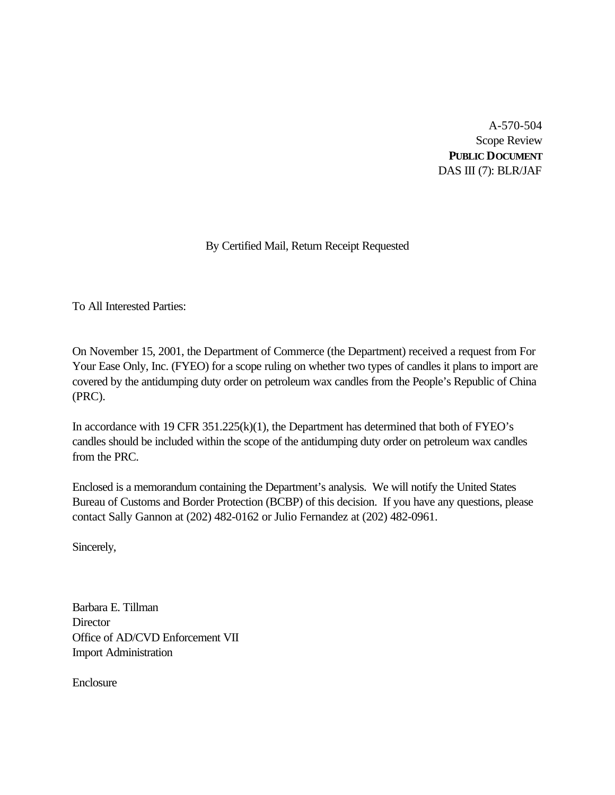A-570-504 Scope Review **PUBLIC DOCUMENT** DAS III (7): BLR/JAF

# By Certified Mail, Return Receipt Requested

To All Interested Parties:

On November 15, 2001, the Department of Commerce (the Department) received a request from For Your Ease Only, Inc. (FYEO) for a scope ruling on whether two types of candles it plans to import are covered by the antidumping duty order on petroleum wax candles from the People's Republic of China (PRC).

In accordance with 19 CFR 351.225(k)(1), the Department has determined that both of FYEO's candles should be included within the scope of the antidumping duty order on petroleum wax candles from the PRC.

Enclosed is a memorandum containing the Department's analysis. We will notify the United States Bureau of Customs and Border Protection (BCBP) of this decision. If you have any questions, please contact Sally Gannon at (202) 482-0162 or Julio Fernandez at (202) 482-0961.

Sincerely,

Barbara E. Tillman **Director** Office of AD/CVD Enforcement VII Import Administration

Enclosure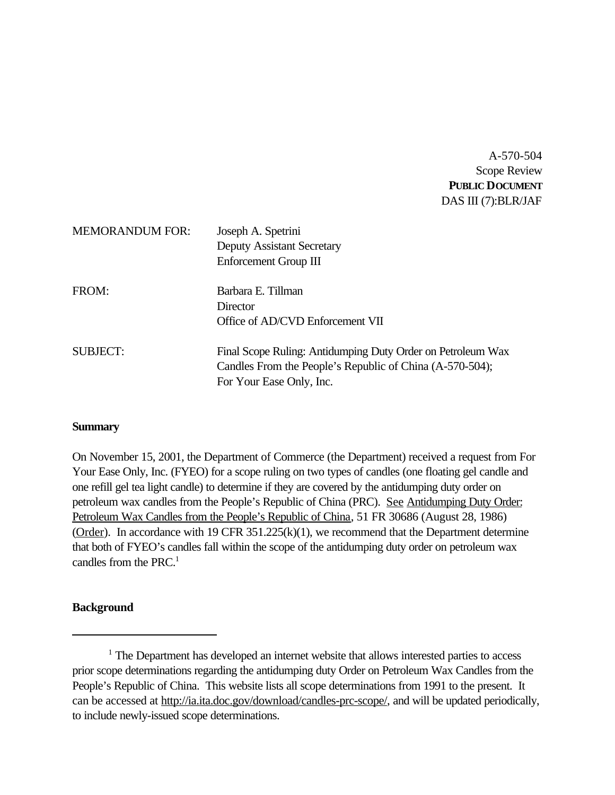A-570-504 Scope Review **PUBLIC DOCUMENT** DAS III (7):BLR/JAF

| <b>MEMORANDUM FOR:</b> | Joseph A. Spetrini<br><b>Deputy Assistant Secretary</b><br>Enforcement Group III                                                                    |
|------------------------|-----------------------------------------------------------------------------------------------------------------------------------------------------|
| FROM:                  | Barbara E. Tillman<br>Director<br>Office of AD/CVD Enforcement VII                                                                                  |
| <b>SUBJECT:</b>        | Final Scope Ruling: Antidumping Duty Order on Petroleum Wax<br>Candles From the People's Republic of China (A-570-504);<br>For Your Ease Only, Inc. |

### **Summary**

On November 15, 2001, the Department of Commerce (the Department) received a request from For Your Ease Only, Inc. (FYEO) for a scope ruling on two types of candles (one floating gel candle and one refill gel tea light candle) to determine if they are covered by the antidumping duty order on petroleum wax candles from the People's Republic of China (PRC). See Antidumping Duty Order: Petroleum Wax Candles from the People's Republic of China, 51 FR 30686 (August 28, 1986) (Order). In accordance with 19 CFR 351.225(k)(1), we recommend that the Department determine that both of FYEO's candles fall within the scope of the antidumping duty order on petroleum wax candles from the PRC.<sup>1</sup>

#### **Background**

<sup>&</sup>lt;sup>1</sup> The Department has developed an internet website that allows interested parties to access prior scope determinations regarding the antidumping duty Order on Petroleum Wax Candles from the People's Republic of China. This website lists all scope determinations from 1991 to the present. It can be accessed at http://ia.ita.doc.gov/download/candles-prc-scope/, and will be updated periodically, to include newly-issued scope determinations.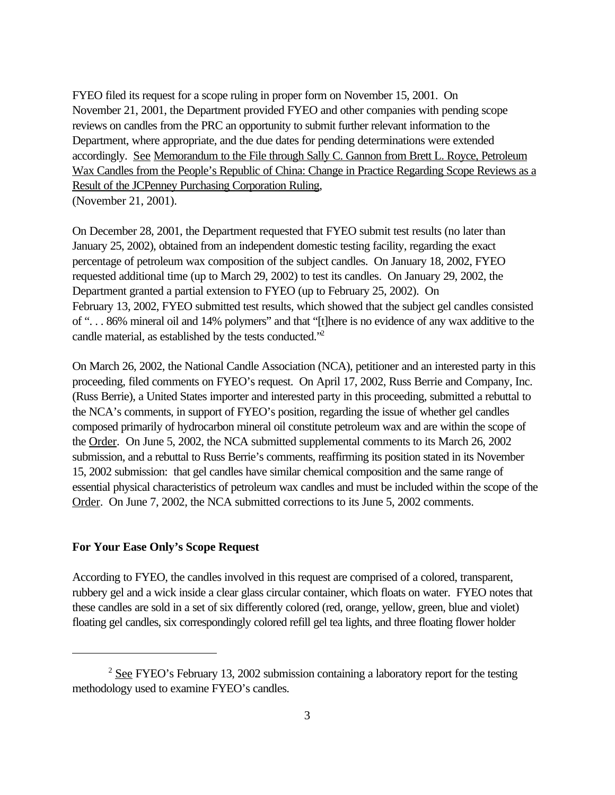FYEO filed its request for a scope ruling in proper form on November 15, 2001. On November 21, 2001, the Department provided FYEO and other companies with pending scope reviews on candles from the PRC an opportunity to submit further relevant information to the Department, where appropriate, and the due dates for pending determinations were extended accordingly. See Memorandum to the File through Sally C. Gannon from Brett L. Royce, Petroleum Wax Candles from the People's Republic of China: Change in Practice Regarding Scope Reviews as a Result of the JCPenney Purchasing Corporation Ruling, (November 21, 2001).

On December 28, 2001, the Department requested that FYEO submit test results (no later than January 25, 2002), obtained from an independent domestic testing facility, regarding the exact percentage of petroleum wax composition of the subject candles. On January 18, 2002, FYEO requested additional time (up to March 29, 2002) to test its candles. On January 29, 2002, the Department granted a partial extension to FYEO (up to February 25, 2002). On February 13, 2002, FYEO submitted test results, which showed that the subject gel candles consisted of ". . . 86% mineral oil and 14% polymers" and that "[t]here is no evidence of any wax additive to the candle material, as established by the tests conducted."<sup>2</sup>

On March 26, 2002, the National Candle Association (NCA), petitioner and an interested party in this proceeding, filed comments on FYEO's request. On April 17, 2002, Russ Berrie and Company, Inc. (Russ Berrie), a United States importer and interested party in this proceeding, submitted a rebuttal to the NCA's comments, in support of FYEO's position, regarding the issue of whether gel candles composed primarily of hydrocarbon mineral oil constitute petroleum wax and are within the scope of the Order. On June 5, 2002, the NCA submitted supplemental comments to its March 26, 2002 submission, and a rebuttal to Russ Berrie's comments, reaffirming its position stated in its November 15, 2002 submission: that gel candles have similar chemical composition and the same range of essential physical characteristics of petroleum wax candles and must be included within the scope of the Order. On June 7, 2002, the NCA submitted corrections to its June 5, 2002 comments.

#### **For Your Ease Only's Scope Request**

According to FYEO, the candles involved in this request are comprised of a colored, transparent, rubbery gel and a wick inside a clear glass circular container, which floats on water. FYEO notes that these candles are sold in a set of six differently colored (red, orange, yellow, green, blue and violet) floating gel candles, six correspondingly colored refill gel tea lights, and three floating flower holder

 $2$  See FYEO's February 13, 2002 submission containing a laboratory report for the testing methodology used to examine FYEO's candles.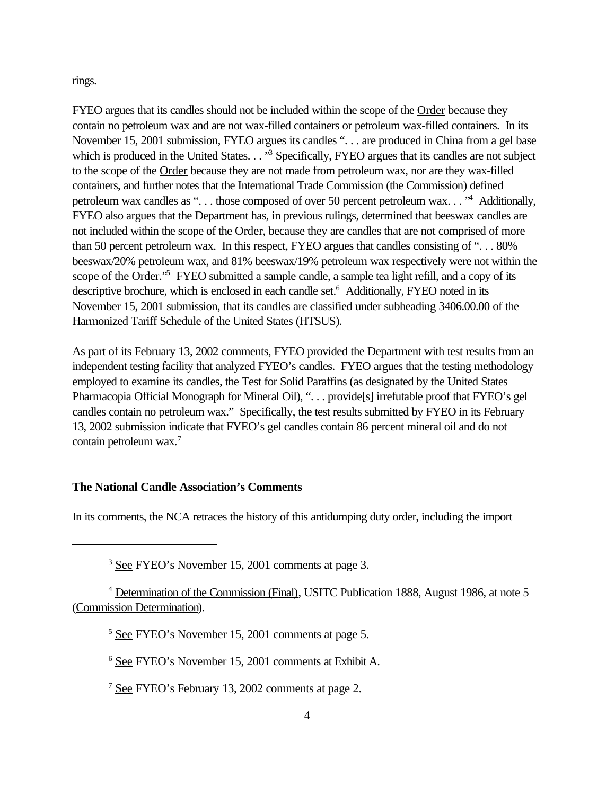rings.

FYEO argues that its candles should not be included within the scope of the Order because they contain no petroleum wax and are not wax-filled containers or petroleum wax-filled containers. In its November 15, 2001 submission, FYEO argues its candles ". . . are produced in China from a gel base which is produced in the United States. . . "<sup>3</sup> Specifically, FYEO argues that its candles are not subject to the scope of the Order because they are not made from petroleum wax, nor are they wax-filled containers, and further notes that the International Trade Commission (the Commission) defined petroleum wax candles as "... those composed of over 50 percent petroleum wax..."<sup>4</sup> Additionally, FYEO also argues that the Department has, in previous rulings, determined that beeswax candles are not included within the scope of the Order, because they are candles that are not comprised of more than 50 percent petroleum wax. In this respect, FYEO argues that candles consisting of ". . . 80% beeswax/20% petroleum wax, and 81% beeswax/19% petroleum wax respectively were not within the scope of the Order."<sup>5</sup> FYEO submitted a sample candle, a sample tea light refill, and a copy of its descriptive brochure, which is enclosed in each candle set.<sup>6</sup> Additionally, FYEO noted in its November 15, 2001 submission, that its candles are classified under subheading 3406.00.00 of the Harmonized Tariff Schedule of the United States (HTSUS).

As part of its February 13, 2002 comments, FYEO provided the Department with test results from an independent testing facility that analyzed FYEO's candles. FYEO argues that the testing methodology employed to examine its candles, the Test for Solid Paraffins (as designated by the United States Pharmacopia Official Monograph for Mineral Oil), ". . . provide[s] irrefutable proof that FYEO's gel candles contain no petroleum wax." Specifically, the test results submitted by FYEO in its February 13, 2002 submission indicate that FYEO's gel candles contain 86 percent mineral oil and do not contain petroleum wax.<sup>7</sup>

#### **The National Candle Association's Comments**

In its comments, the NCA retraces the history of this antidumping duty order, including the import

<sup>3</sup> See FYEO's November 15, 2001 comments at page 3.

<sup>4</sup> Determination of the Commission (Final), USITC Publication 1888, August 1986, at note 5 (Commission Determination).

<sup>5</sup> See FYEO's November 15, 2001 comments at page 5.

<sup>6</sup> See FYEO's November 15, 2001 comments at Exhibit A.

<sup>7</sup> See FYEO's February 13, 2002 comments at page 2.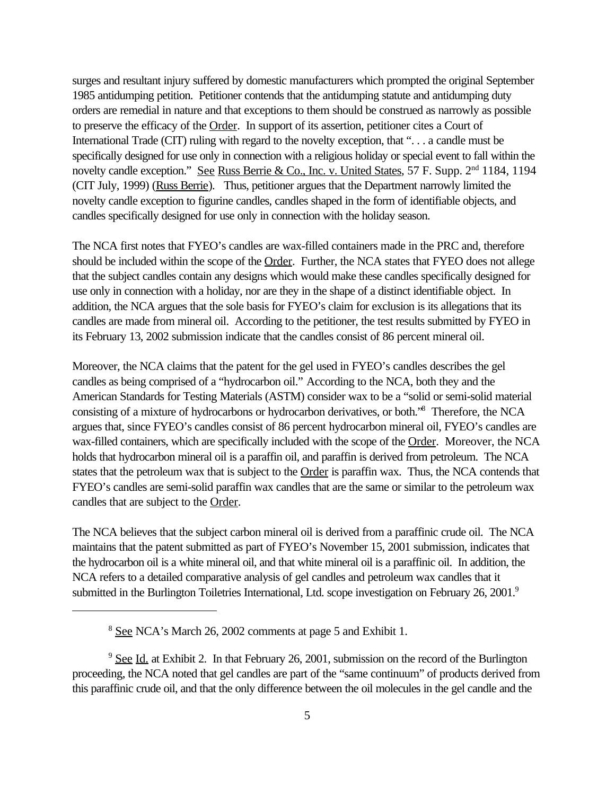surges and resultant injury suffered by domestic manufacturers which prompted the original September 1985 antidumping petition. Petitioner contends that the antidumping statute and antidumping duty orders are remedial in nature and that exceptions to them should be construed as narrowly as possible to preserve the efficacy of the Order. In support of its assertion, petitioner cites a Court of International Trade (CIT) ruling with regard to the novelty exception, that ". . . a candle must be specifically designed for use only in connection with a religious holiday or special event to fall within the novelty candle exception." See Russ Berrie & Co., Inc. v. United States, 57 F. Supp. 2<sup>nd</sup> 1184, 1194 (CIT July, 1999) (Russ Berrie). Thus, petitioner argues that the Department narrowly limited the novelty candle exception to figurine candles, candles shaped in the form of identifiable objects, and candles specifically designed for use only in connection with the holiday season.

The NCA first notes that FYEO's candles are wax-filled containers made in the PRC and, therefore should be included within the scope of the Order. Further, the NCA states that FYEO does not allege that the subject candles contain any designs which would make these candles specifically designed for use only in connection with a holiday, nor are they in the shape of a distinct identifiable object. In addition, the NCA argues that the sole basis for FYEO's claim for exclusion is its allegations that its candles are made from mineral oil. According to the petitioner, the test results submitted by FYEO in its February 13, 2002 submission indicate that the candles consist of 86 percent mineral oil.

Moreover, the NCA claims that the patent for the gel used in FYEO's candles describes the gel candles as being comprised of a "hydrocarbon oil." According to the NCA, both they and the American Standards for Testing Materials (ASTM) consider wax to be a "solid or semi-solid material consisting of a mixture of hydrocarbons or hydrocarbon derivatives, or both."<sup>8</sup> Therefore, the NCA argues that, since FYEO's candles consist of 86 percent hydrocarbon mineral oil, FYEO's candles are wax-filled containers, which are specifically included with the scope of the Order. Moreover, the NCA holds that hydrocarbon mineral oil is a paraffin oil, and paraffin is derived from petroleum. The NCA states that the petroleum wax that is subject to the Order is paraffin wax. Thus, the NCA contends that FYEO's candles are semi-solid paraffin wax candles that are the same or similar to the petroleum wax candles that are subject to the Order.

The NCA believes that the subject carbon mineral oil is derived from a paraffinic crude oil. The NCA maintains that the patent submitted as part of FYEO's November 15, 2001 submission, indicates that the hydrocarbon oil is a white mineral oil, and that white mineral oil is a paraffinic oil. In addition, the NCA refers to a detailed comparative analysis of gel candles and petroleum wax candles that it submitted in the Burlington Toiletries International, Ltd. scope investigation on February 26, 2001.<sup>9</sup>

<sup>8</sup> See NCA's March 26, 2002 comments at page 5 and Exhibit 1.

 $9$  See Id. at Exhibit 2. In that February 26, 2001, submission on the record of the Burlington proceeding, the NCA noted that gel candles are part of the "same continuum" of products derived from this paraffinic crude oil, and that the only difference between the oil molecules in the gel candle and the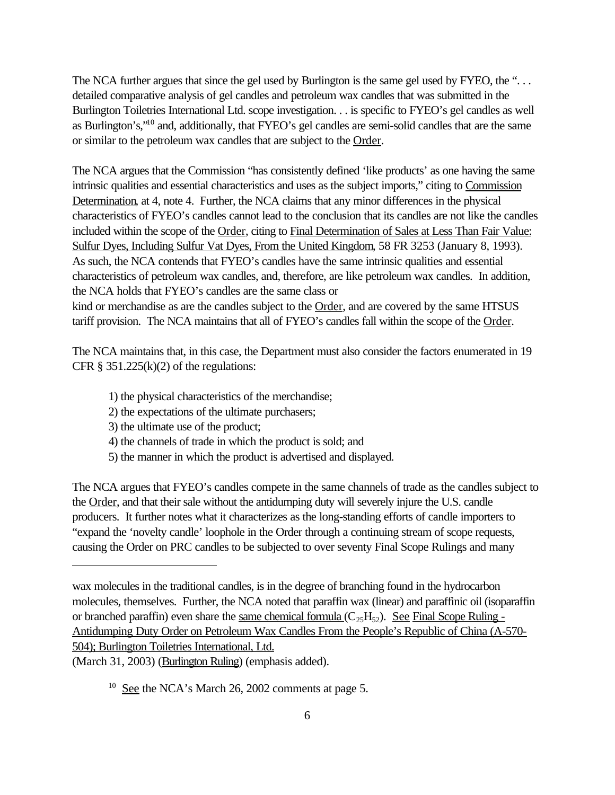The NCA further argues that since the gel used by Burlington is the same gel used by FYEO, the "... detailed comparative analysis of gel candles and petroleum wax candles that was submitted in the Burlington Toiletries International Ltd. scope investigation. . . is specific to FYEO's gel candles as well as Burlington's,"<sup>10</sup> and, additionally, that FYEO's gel candles are semi-solid candles that are the same or similar to the petroleum wax candles that are subject to the Order.

The NCA argues that the Commission "has consistently defined 'like products' as one having the same intrinsic qualities and essential characteristics and uses as the subject imports," citing to Commission Determination, at 4, note 4. Further, the NCA claims that any minor differences in the physical characteristics of FYEO's candles cannot lead to the conclusion that its candles are not like the candles included within the scope of the Order, citing to Final Determination of Sales at Less Than Fair Value: Sulfur Dyes, Including Sulfur Vat Dyes, From the United Kingdom, 58 FR 3253 (January 8, 1993). As such, the NCA contends that FYEO's candles have the same intrinsic qualities and essential characteristics of petroleum wax candles, and, therefore, are like petroleum wax candles. In addition, the NCA holds that FYEO's candles are the same class or kind or merchandise as are the candles subject to the Order, and are covered by the same HTSUS tariff provision. The NCA maintains that all of FYEO's candles fall within the scope of the Order.

The NCA maintains that, in this case, the Department must also consider the factors enumerated in 19 CFR  $\S$  351.225(k)(2) of the regulations:

- 1) the physical characteristics of the merchandise;
- 2) the expectations of the ultimate purchasers;
- 3) the ultimate use of the product;
- 4) the channels of trade in which the product is sold; and
- 5) the manner in which the product is advertised and displayed.

The NCA argues that FYEO's candles compete in the same channels of trade as the candles subject to the Order, and that their sale without the antidumping duty will severely injure the U.S. candle producers. It further notes what it characterizes as the long-standing efforts of candle importers to "expand the 'novelty candle' loophole in the Order through a continuing stream of scope requests, causing the Order on PRC candles to be subjected to over seventy Final Scope Rulings and many

(March 31, 2003) (Burlington Ruling) (emphasis added).

wax molecules in the traditional candles, is in the degree of branching found in the hydrocarbon molecules, themselves. Further, the NCA noted that paraffin wax (linear) and paraffinic oil (isoparaffin or branched paraffin) even share the same chemical formula  $(C_{25}H_{52})$ . See Final Scope Ruling -Antidumping Duty Order on Petroleum Wax Candles From the People's Republic of China (A-570- 504); Burlington Toiletries International, Ltd.

 $10$  See the NCA's March 26, 2002 comments at page 5.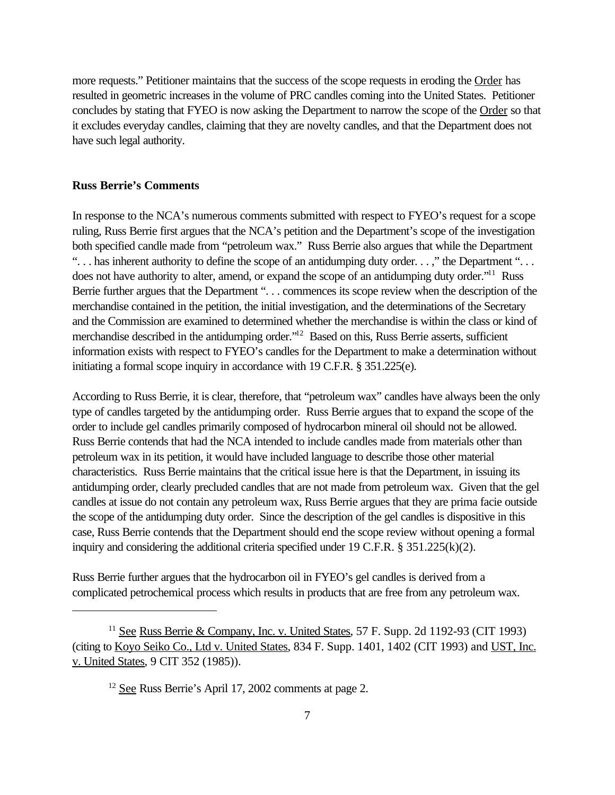more requests." Petitioner maintains that the success of the scope requests in eroding the Order has resulted in geometric increases in the volume of PRC candles coming into the United States. Petitioner concludes by stating that FYEO is now asking the Department to narrow the scope of the Order so that it excludes everyday candles, claiming that they are novelty candles, and that the Department does not have such legal authority.

#### **Russ Berrie's Comments**

In response to the NCA's numerous comments submitted with respect to FYEO's request for a scope ruling, Russ Berrie first argues that the NCA's petition and the Department's scope of the investigation both specified candle made from "petroleum wax." Russ Berrie also argues that while the Department "... has inherent authority to define the scope of an antidumping duty order...," the Department "... does not have authority to alter, amend, or expand the scope of an antidumping duty order."<sup>11</sup> Russ Berrie further argues that the Department ". . . commences its scope review when the description of the merchandise contained in the petition, the initial investigation, and the determinations of the Secretary and the Commission are examined to determined whether the merchandise is within the class or kind of merchandise described in the antidumping order."<sup>12</sup> Based on this, Russ Berrie asserts, sufficient information exists with respect to FYEO's candles for the Department to make a determination without initiating a formal scope inquiry in accordance with 19 C.F.R. § 351.225(e).

According to Russ Berrie, it is clear, therefore, that "petroleum wax" candles have always been the only type of candles targeted by the antidumping order. Russ Berrie argues that to expand the scope of the order to include gel candles primarily composed of hydrocarbon mineral oil should not be allowed. Russ Berrie contends that had the NCA intended to include candles made from materials other than petroleum wax in its petition, it would have included language to describe those other material characteristics. Russ Berrie maintains that the critical issue here is that the Department, in issuing its antidumping order, clearly precluded candles that are not made from petroleum wax. Given that the gel candles at issue do not contain any petroleum wax, Russ Berrie argues that they are prima facie outside the scope of the antidumping duty order. Since the description of the gel candles is dispositive in this case, Russ Berrie contends that the Department should end the scope review without opening a formal inquiry and considering the additional criteria specified under 19 C.F.R. § 351.225(k)(2).

Russ Berrie further argues that the hydrocarbon oil in FYEO's gel candles is derived from a complicated petrochemical process which results in products that are free from any petroleum wax.

<sup>&</sup>lt;sup>11</sup> See Russ Berrie & Company, Inc. v. United States, 57 F. Supp. 2d 1192-93 (CIT 1993) (citing to Koyo Seiko Co., Ltd v. United States, 834 F. Supp. 1401, 1402 (CIT 1993) and UST, Inc. v. United States, 9 CIT 352 (1985)).

<sup>12</sup> See Russ Berrie's April 17, 2002 comments at page 2.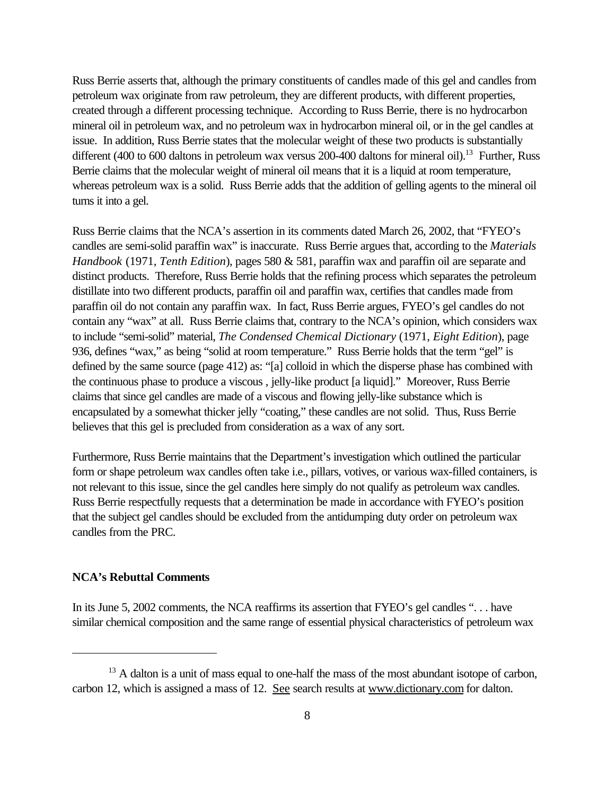Russ Berrie asserts that, although the primary constituents of candles made of this gel and candles from petroleum wax originate from raw petroleum, they are different products, with different properties, created through a different processing technique. According to Russ Berrie, there is no hydrocarbon mineral oil in petroleum wax, and no petroleum wax in hydrocarbon mineral oil, or in the gel candles at issue. In addition, Russ Berrie states that the molecular weight of these two products is substantially different (400 to 600 daltons in petroleum wax versus 200-400 daltons for mineral oil).<sup>13</sup> Further, Russ Berrie claims that the molecular weight of mineral oil means that it is a liquid at room temperature, whereas petroleum wax is a solid. Russ Berrie adds that the addition of gelling agents to the mineral oil turns it into a gel.

Russ Berrie claims that the NCA's assertion in its comments dated March 26, 2002, that "FYEO's candles are semi-solid paraffin wax" is inaccurate. Russ Berrie argues that, according to the *Materials Handbook* (1971, *Tenth Edition*), pages 580 & 581, paraffin wax and paraffin oil are separate and distinct products. Therefore, Russ Berrie holds that the refining process which separates the petroleum distillate into two different products, paraffin oil and paraffin wax, certifies that candles made from paraffin oil do not contain any paraffin wax. In fact, Russ Berrie argues, FYEO's gel candles do not contain any "wax" at all. Russ Berrie claims that, contrary to the NCA's opinion, which considers wax to include "semi-solid" material, *The Condensed Chemical Dictionary* (1971, *Eight Edition*), page 936, defines "wax," as being "solid at room temperature." Russ Berrie holds that the term "gel" is defined by the same source (page 412) as: "[a] colloid in which the disperse phase has combined with the continuous phase to produce a viscous , jelly-like product [a liquid]." Moreover, Russ Berrie claims that since gel candles are made of a viscous and flowing jelly-like substance which is encapsulated by a somewhat thicker jelly "coating," these candles are not solid. Thus, Russ Berrie believes that this gel is precluded from consideration as a wax of any sort.

Furthermore, Russ Berrie maintains that the Department's investigation which outlined the particular form or shape petroleum wax candles often take i.e., pillars, votives, or various wax-filled containers, is not relevant to this issue, since the gel candles here simply do not qualify as petroleum wax candles. Russ Berrie respectfully requests that a determination be made in accordance with FYEO's position that the subject gel candles should be excluded from the antidumping duty order on petroleum wax candles from the PRC.

#### **NCA's Rebuttal Comments**

In its June 5, 2002 comments, the NCA reaffirms its assertion that FYEO's gel candles "... have similar chemical composition and the same range of essential physical characteristics of petroleum wax

<sup>&</sup>lt;sup>13</sup> A dalton is a unit of mass equal to one-half the mass of the most abundant isotope of carbon, carbon 12, which is assigned a mass of 12. See search results at www.dictionary.com for dalton.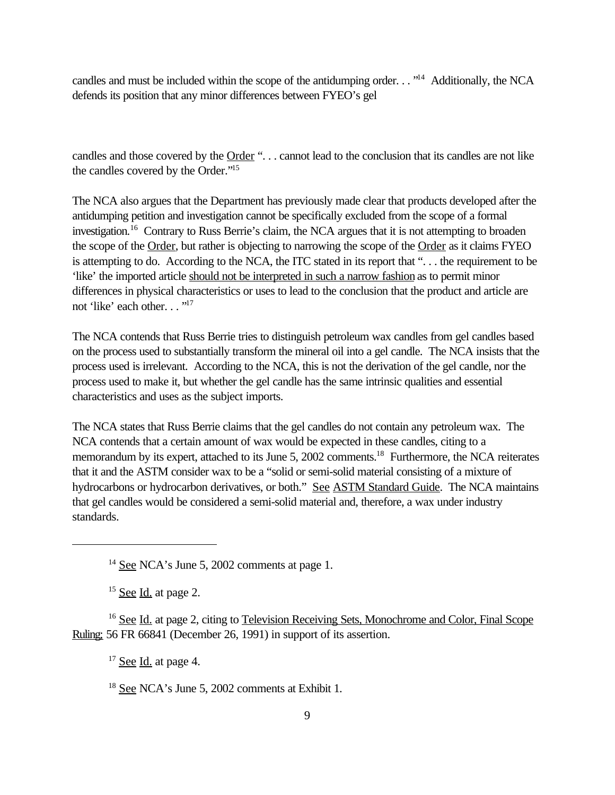candles and must be included within the scope of the antidumping order. . . "<sup>14</sup> Additionally, the NCA defends its position that any minor differences between FYEO's gel

candles and those covered by the Order ". . . cannot lead to the conclusion that its candles are not like the candles covered by the Order."<sup>15</sup>

The NCA also argues that the Department has previously made clear that products developed after the antidumping petition and investigation cannot be specifically excluded from the scope of a formal investigation.<sup>16</sup> Contrary to Russ Berrie's claim, the NCA argues that it is not attempting to broaden the scope of the Order, but rather is objecting to narrowing the scope of the Order as it claims FYEO is attempting to do. According to the NCA, the ITC stated in its report that ". . . the requirement to be 'like' the imported article should not be interpreted in such a narrow fashion as to permit minor differences in physical characteristics or uses to lead to the conclusion that the product and article are not 'like' each other..."<sup>17</sup>

The NCA contends that Russ Berrie tries to distinguish petroleum wax candles from gel candles based on the process used to substantially transform the mineral oil into a gel candle. The NCA insists that the process used is irrelevant. According to the NCA, this is not the derivation of the gel candle, nor the process used to make it, but whether the gel candle has the same intrinsic qualities and essential characteristics and uses as the subject imports.

The NCA states that Russ Berrie claims that the gel candles do not contain any petroleum wax. The NCA contends that a certain amount of wax would be expected in these candles, citing to a memorandum by its expert, attached to its June 5, 2002 comments.<sup>18</sup> Furthermore, the NCA reiterates that it and the ASTM consider wax to be a "solid or semi-solid material consisting of a mixture of hydrocarbons or hydrocarbon derivatives, or both." See ASTM Standard Guide. The NCA maintains that gel candles would be considered a semi-solid material and, therefore, a wax under industry standards.

 $15$  See Id. at page 2.

<sup>16</sup> See Id. at page 2, citing to Television Receiving Sets, Monochrome and Color, Final Scope Ruling; 56 FR 66841 (December 26, 1991) in support of its assertion.

 $17$  See Id. at page 4.

<sup>18</sup> See NCA's June 5, 2002 comments at Exhibit 1.

<sup>&</sup>lt;sup>14</sup> See NCA's June 5, 2002 comments at page 1.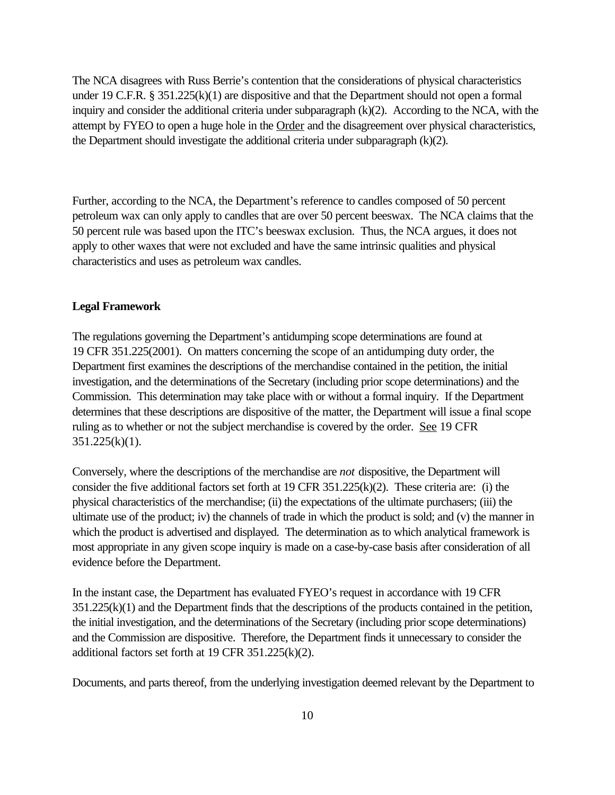The NCA disagrees with Russ Berrie's contention that the considerations of physical characteristics under 19 C.F.R. § 351.225(k)(1) are dispositive and that the Department should not open a formal inquiry and consider the additional criteria under subparagraph (k)(2). According to the NCA, with the attempt by FYEO to open a huge hole in the Order and the disagreement over physical characteristics, the Department should investigate the additional criteria under subparagraph (k)(2).

Further, according to the NCA, the Department's reference to candles composed of 50 percent petroleum wax can only apply to candles that are over 50 percent beeswax. The NCA claims that the 50 percent rule was based upon the ITC's beeswax exclusion. Thus, the NCA argues, it does not apply to other waxes that were not excluded and have the same intrinsic qualities and physical characteristics and uses as petroleum wax candles.

#### **Legal Framework**

The regulations governing the Department's antidumping scope determinations are found at 19 CFR 351.225(2001). On matters concerning the scope of an antidumping duty order, the Department first examines the descriptions of the merchandise contained in the petition, the initial investigation, and the determinations of the Secretary (including prior scope determinations) and the Commission. This determination may take place with or without a formal inquiry. If the Department determines that these descriptions are dispositive of the matter, the Department will issue a final scope ruling as to whether or not the subject merchandise is covered by the order. See 19 CFR  $351.225(k)(1)$ .

Conversely, where the descriptions of the merchandise are *not* dispositive, the Department will consider the five additional factors set forth at 19 CFR 351.225(k)(2). These criteria are: (i) the physical characteristics of the merchandise; (ii) the expectations of the ultimate purchasers; (iii) the ultimate use of the product; iv) the channels of trade in which the product is sold; and (v) the manner in which the product is advertised and displayed. The determination as to which analytical framework is most appropriate in any given scope inquiry is made on a case-by-case basis after consideration of all evidence before the Department.

In the instant case, the Department has evaluated FYEO's request in accordance with 19 CFR 351.225(k)(1) and the Department finds that the descriptions of the products contained in the petition, the initial investigation, and the determinations of the Secretary (including prior scope determinations) and the Commission are dispositive. Therefore, the Department finds it unnecessary to consider the additional factors set forth at 19 CFR 351.225(k)(2).

Documents, and parts thereof, from the underlying investigation deemed relevant by the Department to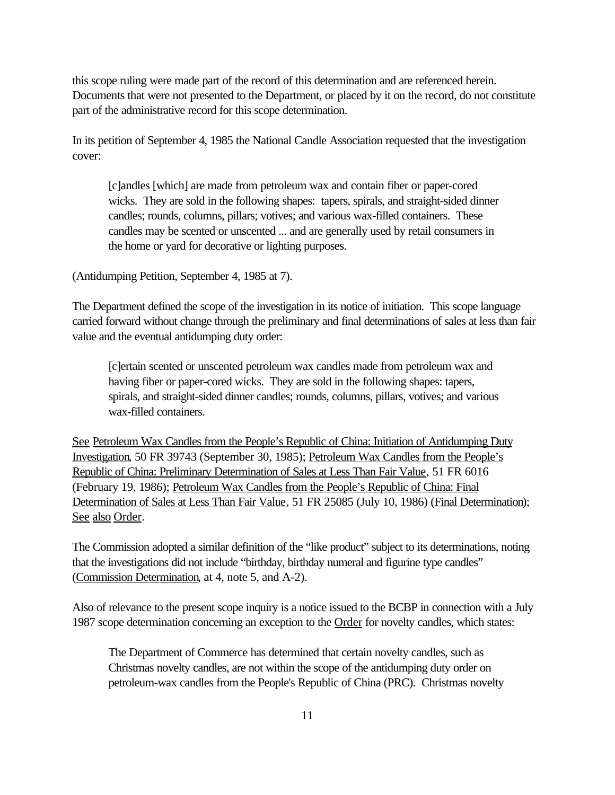this scope ruling were made part of the record of this determination and are referenced herein. Documents that were not presented to the Department, or placed by it on the record, do not constitute part of the administrative record for this scope determination.

In its petition of September 4, 1985 the National Candle Association requested that the investigation cover:

[c]andles [which] are made from petroleum wax and contain fiber or paper-cored wicks. They are sold in the following shapes: tapers, spirals, and straight-sided dinner candles; rounds, columns, pillars; votives; and various wax-filled containers. These candles may be scented or unscented ... and are generally used by retail consumers in the home or yard for decorative or lighting purposes.

(Antidumping Petition, September 4, 1985 at 7).

The Department defined the scope of the investigation in its notice of initiation. This scope language carried forward without change through the preliminary and final determinations of sales at less than fair value and the eventual antidumping duty order:

[c]ertain scented or unscented petroleum wax candles made from petroleum wax and having fiber or paper-cored wicks. They are sold in the following shapes: tapers, spirals, and straight-sided dinner candles; rounds, columns, pillars, votives; and various wax-filled containers.

See Petroleum Wax Candles from the People's Republic of China: Initiation of Antidumping Duty Investigation, 50 FR 39743 (September 30, 1985); Petroleum Wax Candles from the People's Republic of China: Preliminary Determination of Sales at Less Than Fair Value, 51 FR 6016 (February 19, 1986); Petroleum Wax Candles from the People's Republic of China: Final Determination of Sales at Less Than Fair Value, 51 FR 25085 (July 10, 1986) (Final Determination); See also Order.

The Commission adopted a similar definition of the "like product" subject to its determinations, noting that the investigations did not include "birthday, birthday numeral and figurine type candles" (Commission Determination, at 4, note 5, and A-2).

Also of relevance to the present scope inquiry is a notice issued to the BCBP in connection with a July 1987 scope determination concerning an exception to the Order for novelty candles, which states:

The Department of Commerce has determined that certain novelty candles, such as Christmas novelty candles, are not within the scope of the antidumping duty order on petroleum-wax candles from the People's Republic of China (PRC). Christmas novelty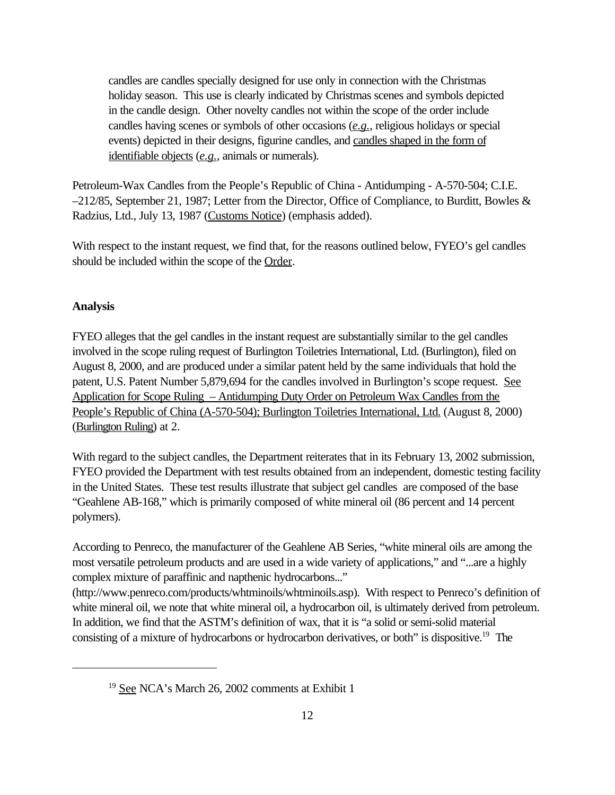candles are candles specially designed for use only in connection with the Christmas holiday season. This use is clearly indicated by Christmas scenes and symbols depicted in the candle design. Other novelty candles not within the scope of the order include candles having scenes or symbols of other occasions (*e.g.*, religious holidays or special events) depicted in their designs, figurine candles, and candles shaped in the form of identifiable objects (*e.g.*, animals or numerals).

Petroleum-Wax Candles from the People's Republic of China - Antidumping - A-570-504; C.I.E. –212/85, September 21, 1987; Letter from the Director, Office of Compliance, to Burditt, Bowles & Radzius, Ltd., July 13, 1987 (Customs Notice) (emphasis added).

With respect to the instant request, we find that, for the reasons outlined below, FYEO's gel candles should be included within the scope of the Order.

## **Analysis**

FYEO alleges that the gel candles in the instant request are substantially similar to the gel candles involved in the scope ruling request of Burlington Toiletries International, Ltd. (Burlington), filed on August 8, 2000, and are produced under a similar patent held by the same individuals that hold the patent, U.S. Patent Number 5,879,694 for the candles involved in Burlington's scope request. See Application for Scope Ruling – Antidumping Duty Order on Petroleum Wax Candles from the People's Republic of China (A-570-504); Burlington Toiletries International, Ltd. (August 8, 2000) (Burlington Ruling) at 2.

With regard to the subject candles, the Department reiterates that in its February 13, 2002 submission, FYEO provided the Department with test results obtained from an independent, domestic testing facility in the United States. These test results illustrate that subject gel candles are composed of the base "Geahlene AB-168," which is primarily composed of white mineral oil (86 percent and 14 percent polymers).

According to Penreco, the manufacturer of the Geahlene AB Series, "white mineral oils are among the most versatile petroleum products and are used in a wide variety of applications," and "...are a highly complex mixture of paraffinic and napthenic hydrocarbons..."

(http://www.penreco.com/products/whtminoils/whtminoils.asp). With respect to Penreco's definition of white mineral oil, we note that white mineral oil, a hydrocarbon oil, is ultimately derived from petroleum. In addition, we find that the ASTM's definition of wax, that it is "a solid or semi-solid material consisting of a mixture of hydrocarbons or hydrocarbon derivatives, or both" is dispositive.<sup>19</sup> The

<sup>&</sup>lt;sup>19</sup> See NCA's March 26, 2002 comments at Exhibit 1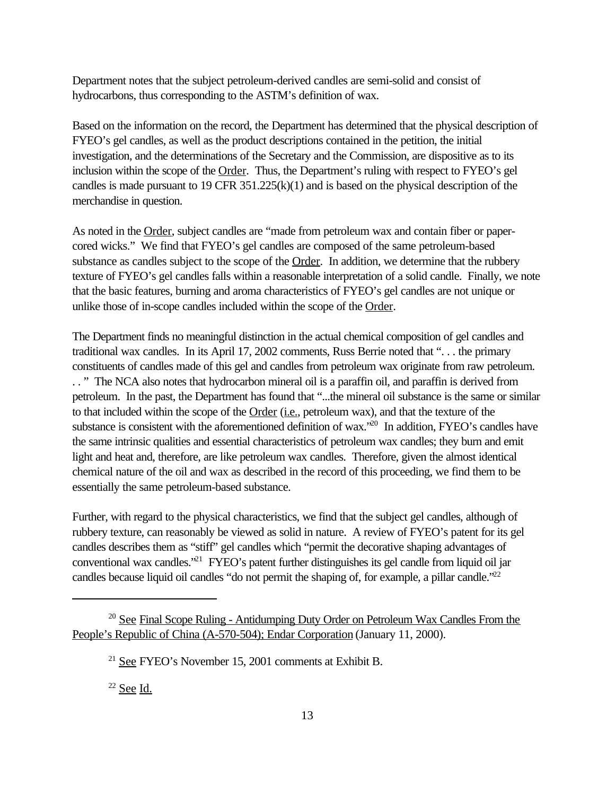Department notes that the subject petroleum-derived candles are semi-solid and consist of hydrocarbons, thus corresponding to the ASTM's definition of wax.

Based on the information on the record, the Department has determined that the physical description of FYEO's gel candles, as well as the product descriptions contained in the petition, the initial investigation, and the determinations of the Secretary and the Commission, are dispositive as to its inclusion within the scope of the Order. Thus, the Department's ruling with respect to FYEO's gel candles is made pursuant to 19 CFR 351.225(k)(1) and is based on the physical description of the merchandise in question.

As noted in the **Order**, subject candles are "made from petroleum wax and contain fiber or papercored wicks." We find that FYEO's gel candles are composed of the same petroleum-based substance as candles subject to the scope of the Order. In addition, we determine that the rubbery texture of FYEO's gel candles falls within a reasonable interpretation of a solid candle. Finally, we note that the basic features, burning and aroma characteristics of FYEO's gel candles are not unique or unlike those of in-scope candles included within the scope of the Order.

The Department finds no meaningful distinction in the actual chemical composition of gel candles and traditional wax candles. In its April 17, 2002 comments, Russ Berrie noted that ". . . the primary constituents of candles made of this gel and candles from petroleum wax originate from raw petroleum. . . " The NCA also notes that hydrocarbon mineral oil is a paraffin oil, and paraffin is derived from petroleum. In the past, the Department has found that "...the mineral oil substance is the same or similar to that included within the scope of the Order (i.e., petroleum wax), and that the texture of the substance is consistent with the aforementioned definition of wax.<sup>20</sup> In addition, FYEO's candles have the same intrinsic qualities and essential characteristics of petroleum wax candles; they burn and emit light and heat and, therefore, are like petroleum wax candles. Therefore, given the almost identical chemical nature of the oil and wax as described in the record of this proceeding, we find them to be essentially the same petroleum-based substance.

Further, with regard to the physical characteristics, we find that the subject gel candles, although of rubbery texture, can reasonably be viewed as solid in nature. A review of FYEO's patent for its gel candles describes them as "stiff" gel candles which "permit the decorative shaping advantages of conventional wax candles.<sup>321</sup> FYEO's patent further distinguishes its gel candle from liquid oil jar candles because liquid oil candles "do not permit the shaping of, for example, a pillar candle."<sup>22</sup>

 $22$  See Id.

<sup>&</sup>lt;sup>20</sup> See Final Scope Ruling - Antidumping Duty Order on Petroleum Wax Candles From the People's Republic of China (A-570-504); Endar Corporation (January 11, 2000).

<sup>21</sup> See FYEO's November 15, 2001 comments at Exhibit B.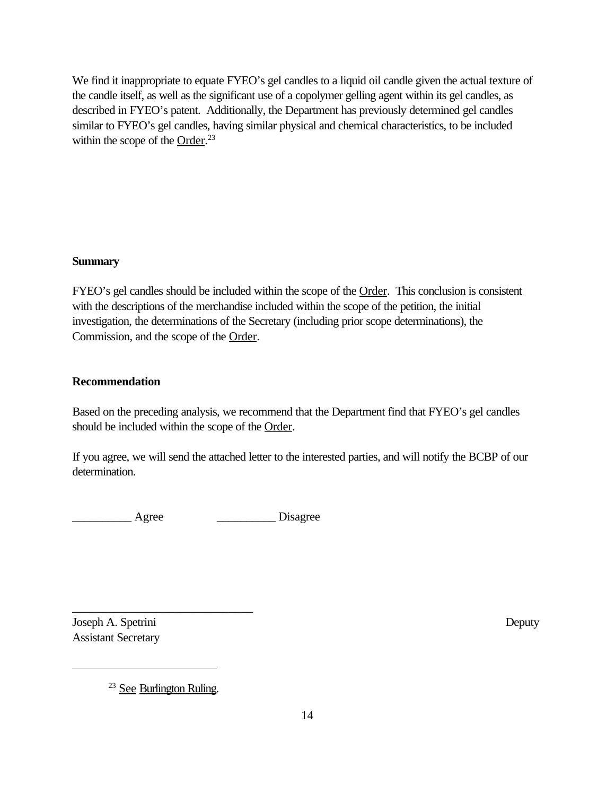We find it inappropriate to equate FYEO's gel candles to a liquid oil candle given the actual texture of the candle itself, as well as the significant use of a copolymer gelling agent within its gel candles, as described in FYEO's patent. Additionally, the Department has previously determined gel candles similar to FYEO's gel candles, having similar physical and chemical characteristics, to be included within the scope of the  $Order.^{23}$ 

### **Summary**

FYEO's gel candles should be included within the scope of the Order. This conclusion is consistent with the descriptions of the merchandise included within the scope of the petition, the initial investigation, the determinations of the Secretary (including prior scope determinations), the Commission, and the scope of the Order.

## **Recommendation**

Based on the preceding analysis, we recommend that the Department find that FYEO's gel candles should be included within the scope of the Order.

If you agree, we will send the attached letter to the interested parties, and will notify the BCBP of our determination.

example and Agree the contract of the Disagree

Joseph A. Spetrini Deputy Assistant Secretary

\_\_\_\_\_\_\_\_\_\_\_\_\_\_\_\_\_\_\_\_\_\_\_\_\_\_\_\_\_\_

<sup>&</sup>lt;sup>23</sup> See Burlington Ruling.